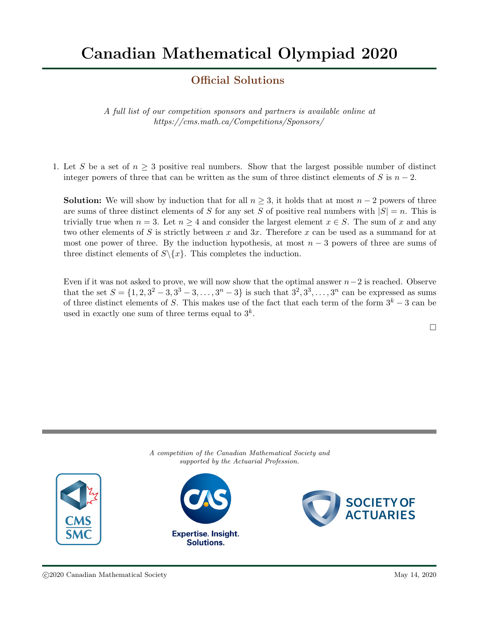## Official Solutions

A full list of our competition sponsors and partners is available online at https://cms.math.ca/Competitions/Sponsors/

1. Let S be a set of  $n \geq 3$  positive real numbers. Show that the largest possible number of distinct integer powers of three that can be written as the sum of three distinct elements of S is  $n-2$ .

**Solution:** We will show by induction that for all  $n \geq 3$ , it holds that at most  $n-2$  powers of three are sums of three distinct elements of S for any set S of positive real numbers with  $|S| = n$ . This is trivially true when  $n = 3$ . Let  $n \geq 4$  and consider the largest element  $x \in S$ . The sum of x and any two other elements of S is strictly between x and  $3x$ . Therefore x can be used as a summand for at most one power of three. By the induction hypothesis, at most  $n-3$  powers of three are sums of three distinct elements of  $S \setminus \{x\}$ . This completes the induction.

Even if it was not asked to prove, we will now show that the optimal answer  $n-2$  is reached. Observe that the set  $S = \{1, 2, 3^2 - 3, 3^3 - 3, \ldots, 3^n - 3\}$  is such that  $3^2, 3^3, \ldots, 3^n$  can be expressed as sums of three distinct elements of S. This makes use of the fact that each term of the form  $3^k - 3$  can be used in exactly one sum of three terms equal to  $3^k$ .

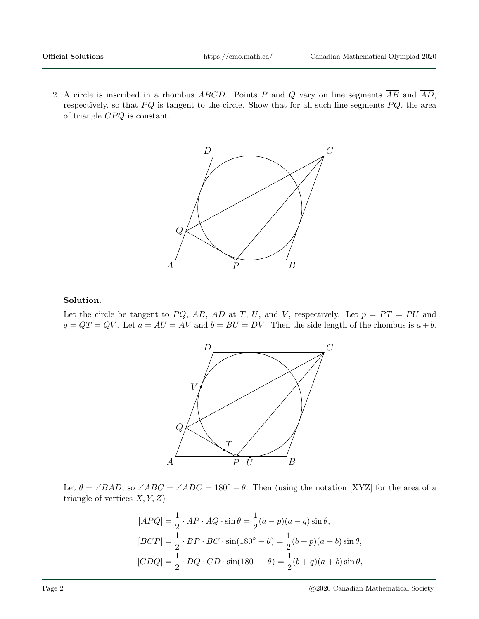2. A circle is inscribed in a rhombus ABCD. Points P and Q vary on line segments  $\overline{AB}$  and  $\overline{AD}$ , respectively, so that  $\overline{PQ}$  is tangent to the circle. Show that for all such line segments  $\overline{PQ}$ , the area of triangle  $CPQ$  is constant.



## Solution.

Let the circle be tangent to  $\overline{PQ}$ ,  $\overline{AB}$ ,  $\overline{AD}$  at T, U, and V, respectively. Let  $p = PT = PU$  and  $q = QT = QV$ . Let  $a = AU = AV$  and  $b = BU = DV$ . Then the side length of the rhombus is  $a + b$ .



Let  $\theta = \angle BAD$ , so  $\angle ABC = \angle ADC = 180^{\circ} - \theta$ . Then (using the notation [XYZ] for the area of a triangle of vertices  $X, Y, Z$ 

$$
[APQ] = \frac{1}{2} \cdot AP \cdot AQ \cdot \sin \theta = \frac{1}{2}(a - p)(a - q)\sin \theta,
$$
  
\n
$$
[BCP] = \frac{1}{2} \cdot BP \cdot BC \cdot \sin(180^\circ - \theta) = \frac{1}{2}(b + p)(a + b)\sin \theta,
$$
  
\n
$$
[CDQ] = \frac{1}{2} \cdot DQ \cdot CD \cdot \sin(180^\circ - \theta) = \frac{1}{2}(b + q)(a + b)\sin \theta,
$$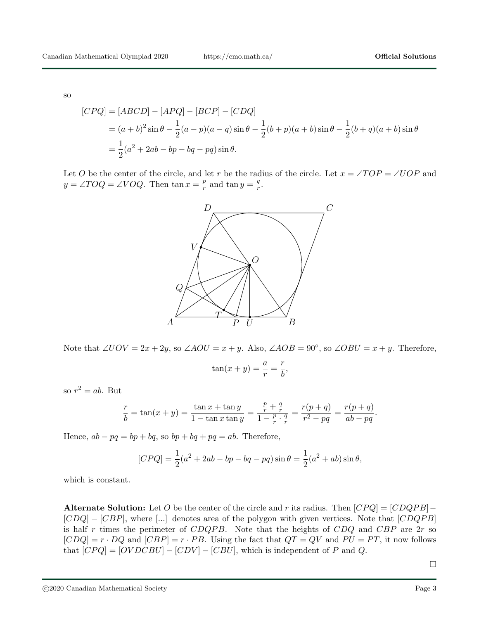so

$$
[CPQ] = [ABCD] - [APQ] - [BCP] - [CDQ]
$$
  
=  $(a + b)^2 \sin \theta - \frac{1}{2}(a - p)(a - q) \sin \theta - \frac{1}{2}(b + p)(a + b) \sin \theta - \frac{1}{2}(b + q)(a + b) \sin \theta$   
=  $\frac{1}{2}(a^2 + 2ab - bp - bq - pq) \sin \theta$ .

Let O be the center of the circle, and let r be the radius of the circle. Let  $x = \angle TOP = \angle UOP$  and  $y = \angle TOQ = \angle VOQ$ . Then  $\tan x = \frac{p}{r}$  $\frac{p}{r}$  and tan  $y = \frac{q}{r}$  $\frac{q}{r}.$ 



Note that  $\angle UOV = 2x + 2y$ , so  $\angle AOU = x + y$ . Also,  $\angle AOB = 90^\circ$ , so  $\angle OBU = x + y$ . Therefore,

$$
\tan(x+y) = \frac{a}{r} = \frac{r}{b},
$$

so  $r^2 = ab$ . But

$$
\frac{r}{b} = \tan(x+y) = \frac{\tan x + \tan y}{1 - \tan x \tan y} = \frac{\frac{p}{r} + \frac{q}{r}}{1 - \frac{p}{r} \cdot \frac{q}{r}} = \frac{r(p+q)}{r^2 - pq} = \frac{r(p+q)}{ab - pq}.
$$

Hence,  $ab - pq = bp + bq$ , so  $bp + bq + pq = ab$ . Therefore,

$$
[CPQ] = \frac{1}{2}(a^2 + 2ab - bp - bq - pq)\sin\theta = \frac{1}{2}(a^2 + ab)\sin\theta,
$$

which is constant.

Alternate Solution: Let O be the center of the circle and r its radius. Then  $[CPQ] = [CDQPB] [CDQ] - [CBP]$ , where [...] denotes area of the polygon with given vertices. Note that  $[CDQPB]$ is half r times the perimeter of  $CDQPB$ . Note that the heights of  $CDQ$  and  $CBP$  are  $2r$  so  $[CDQ] = r \cdot DQ$  and  $[CBP] = r \cdot PB$ . Using the fact that  $QT = QV$  and  $PU = PT$ , it now follows that  $[CPQ] = [OVDCBU] - [CDV] - [CBU]$ , which is independent of P and Q.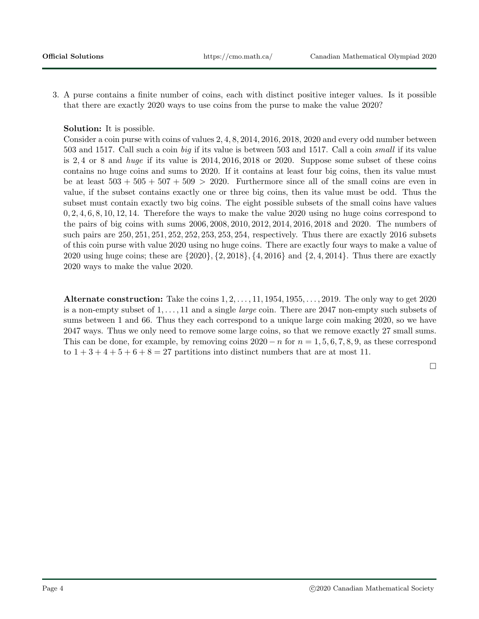3. A purse contains a finite number of coins, each with distinct positive integer values. Is it possible that there are exactly 2020 ways to use coins from the purse to make the value 2020?

## Solution: It is possible.

Consider a coin purse with coins of values 2, 4, 8, 2014, 2016, 2018, 2020 and every odd number between 503 and 1517. Call such a coin big if its value is between 503 and 1517. Call a coin small if its value is  $2, 4$  or 8 and *huge* if its value is  $2014, 2016, 2018$  or  $2020$ . Suppose some subset of these coins contains no huge coins and sums to 2020. If it contains at least four big coins, then its value must be at least  $503 + 505 + 507 + 509 > 2020$ . Furthermore since all of the small coins are even in value, if the subset contains exactly one or three big coins, then its value must be odd. Thus the subset must contain exactly two big coins. The eight possible subsets of the small coins have values 0, 2, 4, 6, 8, 10, 12, 14. Therefore the ways to make the value 2020 using no huge coins correspond to the pairs of big coins with sums 2006, 2008, 2010, 2012, 2014, 2016, 2018 and 2020. The numbers of such pairs are 250, 251, 251, 252, 252, 253, 253, 254, respectively. Thus there are exactly 2016 subsets of this coin purse with value 2020 using no huge coins. There are exactly four ways to make a value of 2020 using huge coins; these are  $\{2020\}, \{2, 2018\}, \{4, 2016\}$  and  $\{2, 4, 2014\}.$  Thus there are exactly 2020 ways to make the value 2020.

Alternate construction: Take the coins  $1, 2, \ldots, 11, 1954, 1955, \ldots, 2019$ . The only way to get 2020 is a non-empty subset of  $1, \ldots, 11$  and a single *large* coin. There are 2047 non-empty such subsets of sums between 1 and 66. Thus they each correspond to a unique large coin making 2020, so we have 2047 ways. Thus we only need to remove some large coins, so that we remove exactly 27 small sums. This can be done, for example, by removing coins  $2020 - n$  for  $n = 1, 5, 6, 7, 8, 9$ , as these correspond to  $1+3+4+5+6+8=27$  partitions into distinct numbers that are at most 11.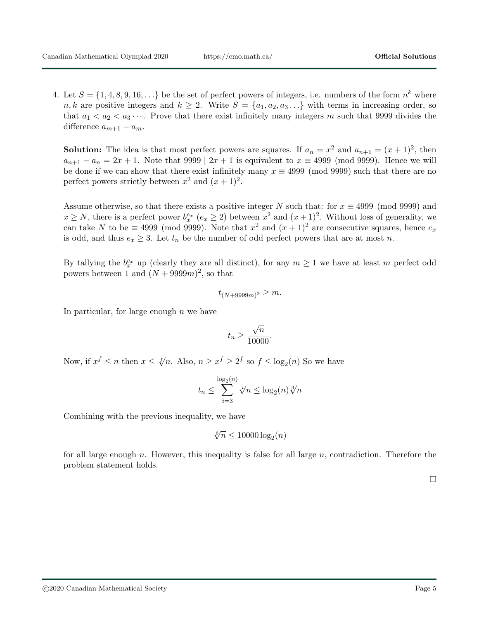4. Let  $S = \{1, 4, 8, 9, 16, \ldots\}$  be the set of perfect powers of integers, i.e. numbers of the form  $n^k$  where  $n, k$  are positive integers and  $k \geq 2$ . Write  $S = \{a_1, a_2, a_3...\}$  with terms in increasing order, so that  $a_1 < a_2 < a_3 \cdots$ . Prove that there exist infinitely many integers m such that 9999 divides the difference  $a_{m+1} - a_m$ .

**Solution:** The idea is that most perfect powers are squares. If  $a_n = x^2$  and  $a_{n+1} = (x+1)^2$ , then  $a_{n+1} - a_n = 2x + 1$ . Note that 9999 |  $2x + 1$  is equivalent to  $x \equiv 4999$  (mod 9999). Hence we will be done if we can show that there exist infinitely many  $x \equiv 4999 \pmod{9999}$  such that there are no perfect powers strictly between  $x^2$  and  $(x+1)^2$ .

Assume otherwise, so that there exists a positive integer N such that: for  $x \equiv 4999 \pmod{9999}$  and  $x \ge N$ , there is a perfect power  $b_x^{e_x}$   $(e_x \ge 2)$  between  $x^2$  and  $(x+1)^2$ . Without loss of generality, we can take N to be  $\equiv$  4999 (mod 9999). Note that  $x^2$  and  $(x+1)^2$  are consecutive squares, hence  $e_x$ is odd, and thus  $e_x \geq 3$ . Let  $t_n$  be the number of odd perfect powers that are at most n.

By tallying the  $b_x^{e_x}$  up (clearly they are all distinct), for any  $m \ge 1$  we have at least m perfect odd powers between 1 and  $(N + 9999m)^2$ , so that

$$
t_{(N+9999m)^2} \geq m.
$$

In particular, for large enough  $n$  we have

$$
t_n \ge \frac{\sqrt{n}}{10000}.
$$

Now, if  $x^f \le n$  then  $x \le \sqrt[n]{n}$ . Also,  $n \ge x^f \ge 2^f$  so  $f \le \log_2(n)$  So we have

$$
t_n \le \sum_{i=3}^{\log_2(n)} \sqrt[i]{n} \le \log_2(n) \sqrt[3]{n}
$$

Combining with the previous inequality, we have

$$
\sqrt[6]{n} \le 10000 \log_2(n)
$$

for all large enough n. However, this inequality is false for all large  $n$ , contradiction. Therefore the problem statement holds.